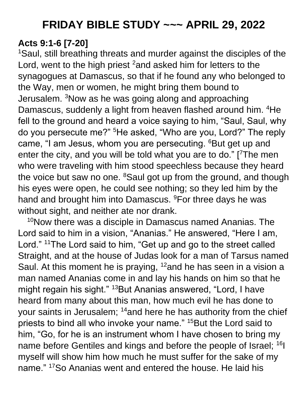# **Acts 9:1-6 [7-20]**

<sup>1</sup>Saul, still breathing threats and murder against the disciples of the Lord, went to the high priest <sup>2</sup> and asked him for letters to the synagogues at Damascus, so that if he found any who belonged to the Way, men or women, he might bring them bound to Jerusalem. <sup>3</sup>Now as he was going along and approaching Damascus, suddenly a light from heaven flashed around him. <sup>4</sup>He fell to the ground and heard a voice saying to him, "Saul, Saul, why do you persecute me?" <sup>5</sup>He asked, "Who are you, Lord?" The reply came, "I am Jesus, whom you are persecuting. <sup>6</sup>But get up and enter the city, and you will be told what you are to do." [7The men who were traveling with him stood speechless because they heard the voice but saw no one. <sup>8</sup>Saul got up from the ground, and though his eyes were open, he could see nothing; so they led him by the hand and brought him into Damascus. <sup>9</sup>For three days he was without sight, and neither ate nor drank.

<sup>10</sup>Now there was a disciple in Damascus named Ananias. The Lord said to him in a vision, "Ananias." He answered, "Here I am, Lord." <sup>11</sup>The Lord said to him, "Get up and go to the street called Straight, and at the house of Judas look for a man of Tarsus named Saul. At this moment he is praying,  $12$  and he has seen in a vision a man named Ananias come in and lay his hands on him so that he might regain his sight." <sup>13</sup>But Ananias answered, "Lord, I have heard from many about this man, how much evil he has done to your saints in Jerusalem; <sup>14</sup>and here he has authority from the chief priests to bind all who invoke your name." <sup>15</sup>But the Lord said to him, "Go, for he is an instrument whom I have chosen to bring my name before Gentiles and kings and before the people of Israel; <sup>16</sup>I myself will show him how much he must suffer for the sake of my name." <sup>17</sup>So Ananias went and entered the house. He laid his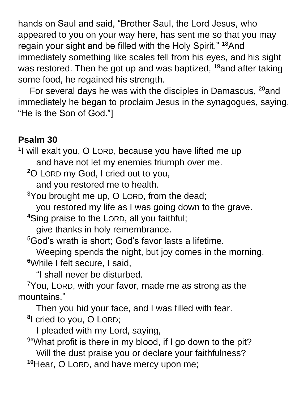hands on Saul and said, "Brother Saul, the Lord Jesus, who appeared to you on your way here, has sent me so that you may regain your sight and be filled with the Holy Spirit." <sup>18</sup>And immediately something like scales fell from his eyes, and his sight was restored. Then he got up and was baptized, <sup>19</sup>and after taking some food, he regained his strength.

For several days he was with the disciples in Damascus,  $^{20}$  and immediately he began to proclaim Jesus in the synagogues, saying, "He is the Son of God."]

### **Psalm 30**

<sup>1</sup>l will exalt you, O LORD, because you have lifted me up and have not let my enemies triumph over me.

**<sup>2</sup>**O LORD my God, I cried out to you,

and you restored me to health.

 $3$ You brought me up, O LORD, from the dead;

you restored my life as I was going down to the grave.

**<sup>4</sup>**Sing praise to the LORD, all you faithful;

give thanks in holy remembrance.

<sup>5</sup>God's wrath is short; God's favor lasts a lifetime.

Weeping spends the night, but joy comes in the morning. **<sup>6</sup>**While I felt secure, I said,

"I shall never be disturbed.

 $\gamma$ You, LORD, with your favor, made me as strong as the mountains."

Then you hid your face, and I was filled with fear.

**8** I cried to you, O LORD;

I pleaded with my Lord, saying,

<sup>9</sup> 'What profit is there in my blood, if I go down to the pit? Will the dust praise you or declare your faithfulness? **<sup>10</sup>**Hear, O LORD, and have mercy upon me;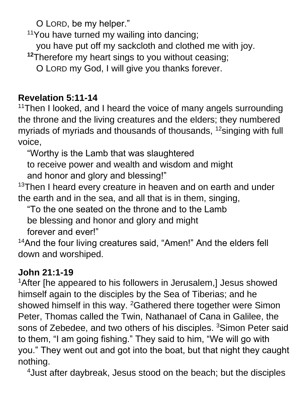O LORD, be my helper."

 $11$ You have turned my wailing into dancing;

you have put off my sackcloth and clothed me with joy.

**<sup>12</sup>**Therefore my heart sings to you without ceasing;

O LORD my God, I will give you thanks forever.

#### **Revelation 5:11-14**

<sup>11</sup>Then I looked, and I heard the voice of many angels surrounding the throne and the living creatures and the elders; they numbered myriads of myriads and thousands of thousands, <sup>12</sup>singing with full voice,

"Worthy is the Lamb that was slaughtered

to receive power and wealth and wisdom and might

and honor and glory and blessing!"

<sup>13</sup>Then I heard every creature in heaven and on earth and under the earth and in the sea, and all that is in them, singing,

"To the one seated on the throne and to the Lamb

be blessing and honor and glory and might

forever and ever!"

<sup>14</sup>And the four living creatures said, "Amen!" And the elders fell down and worshiped.

# **John 21:1-19**

<sup>1</sup>After [he appeared to his followers in Jerusalem,] Jesus showed himself again to the disciples by the Sea of Tiberias; and he showed himself in this way. <sup>2</sup>Gathered there together were Simon Peter, Thomas called the Twin, Nathanael of Cana in Galilee, the sons of Zebedee, and two others of his disciples. <sup>3</sup>Simon Peter said to them, "I am going fishing." They said to him, "We will go with you." They went out and got into the boat, but that night they caught nothing.

4Just after daybreak, Jesus stood on the beach; but the disciples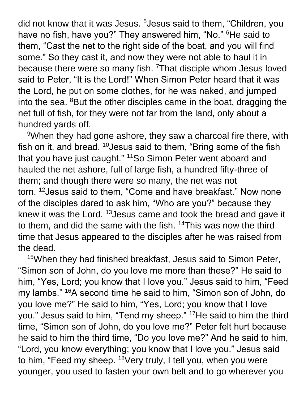did not know that it was Jesus. <sup>5</sup> Jesus said to them, "Children, you have no fish, have you?" They answered him, "No." <sup>6</sup>He said to them, "Cast the net to the right side of the boat, and you will find some." So they cast it, and now they were not able to haul it in because there were so many fish. <sup>7</sup>That disciple whom Jesus loved said to Peter, "It is the Lord!" When Simon Peter heard that it was the Lord, he put on some clothes, for he was naked, and jumped into the sea.  ${}^{8}$ But the other disciples came in the boat, dragging the net full of fish, for they were not far from the land, only about a hundred yards off.

<sup>9</sup>When they had gone ashore, they saw a charcoal fire there, with fish on it, and bread.  $10$  Jesus said to them, "Bring some of the fish that you have just caught." <sup>11</sup>So Simon Peter went aboard and hauled the net ashore, full of large fish, a hundred fifty-three of them; and though there were so many, the net was not torn. <sup>12</sup>Jesus said to them, "Come and have breakfast." Now none of the disciples dared to ask him, "Who are you?" because they knew it was the Lord. <sup>13</sup>Jesus came and took the bread and gave it to them, and did the same with the fish. <sup>14</sup>This was now the third time that Jesus appeared to the disciples after he was raised from the dead.

<sup>15</sup>When they had finished breakfast, Jesus said to Simon Peter, "Simon son of John, do you love me more than these?" He said to him, "Yes, Lord; you know that I love you." Jesus said to him, "Feed my lambs." <sup>16</sup>A second time he said to him, "Simon son of John, do you love me?" He said to him, "Yes, Lord; you know that I love you." Jesus said to him, "Tend my sheep." <sup>17</sup>He said to him the third time, "Simon son of John, do you love me?" Peter felt hurt because he said to him the third time, "Do you love me?" And he said to him, "Lord, you know everything; you know that I love you." Jesus said to him, "Feed my sheep. <sup>18</sup>Very truly, I tell you, when you were younger, you used to fasten your own belt and to go wherever you